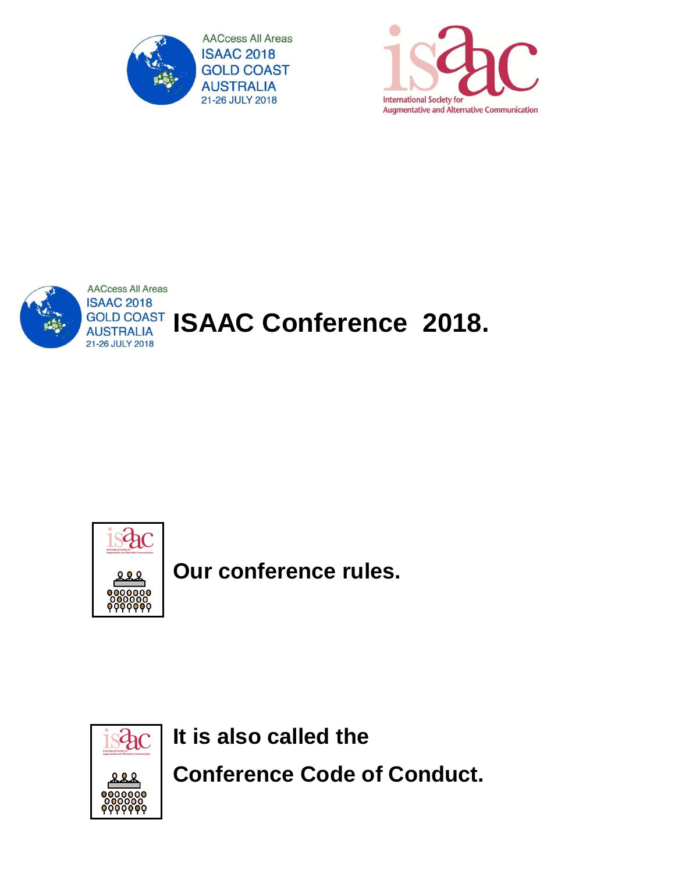

**International Society for Augmentative and Alternative Communication** 



# **GOLD COAST ISAAC Conference 2018.**



**Our conference rules.**



**It is also called the** 

**Conference Code of Conduct.**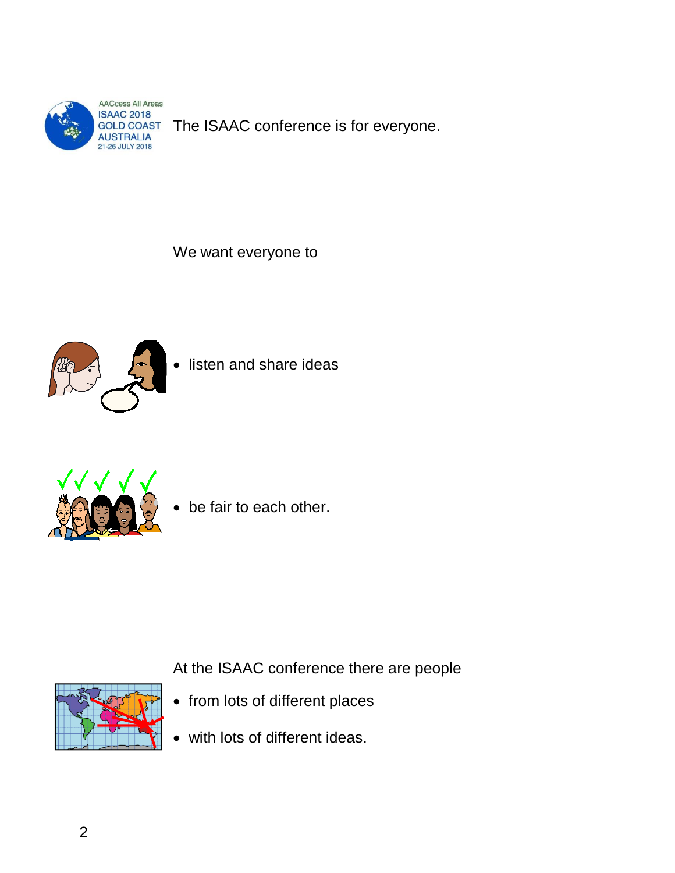

GOLD COAST The ISAAC conference is for everyone.

We want everyone to



listen and share ideas



be fair to each other.

At the ISAAC conference there are people



- from lots of different places
- with lots of different ideas.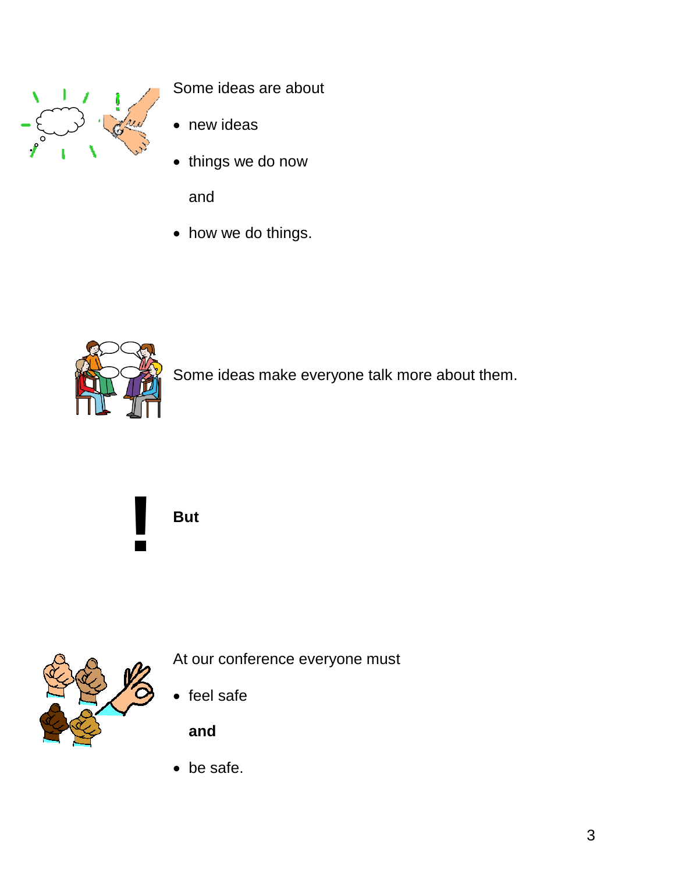

Some ideas are about

- new ideas
- things we do now

and

• how we do things.



Some ideas make everyone talk more about them.

**But** 

**!**



At our conference everyone must

• feel safe

**and**

be safe.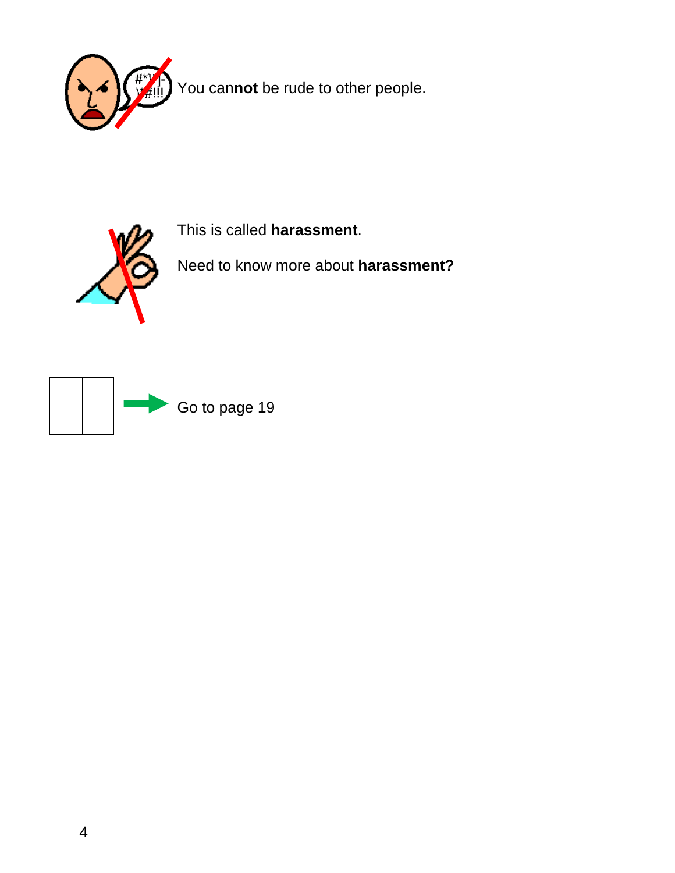



This is called **harassment**.

Need to know more about **harassment?**

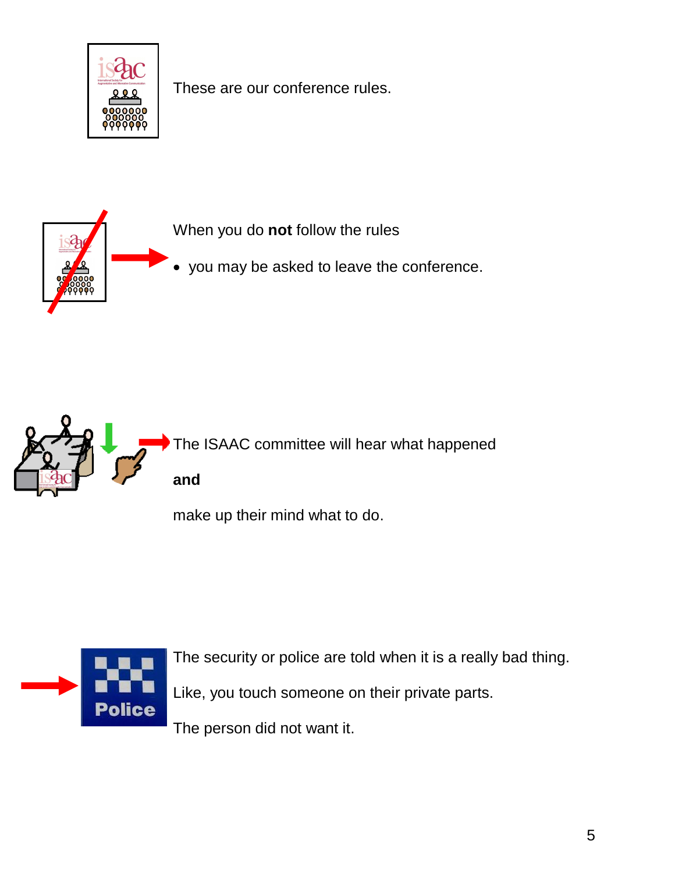

These are our conference rules.





make up their mind what to do.



The security or police are told when it is a really bad thing.

Like, you touch someone on their private parts.

The person did not want it.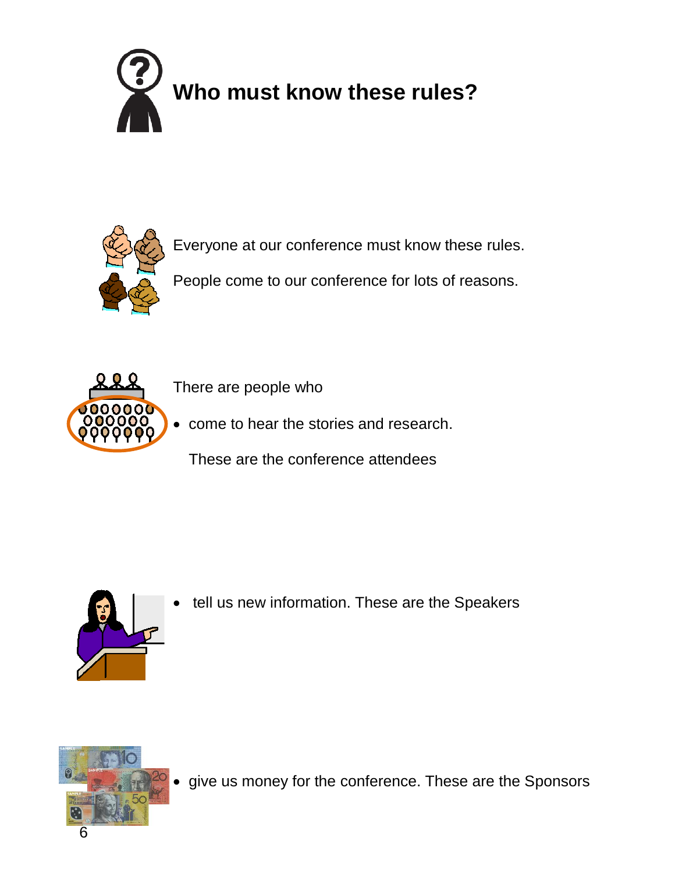



Everyone at our conference must know these rules.

People come to our conference for lots of reasons.



There are people who

• come to hear the stories and research.

These are the conference attendees



tell us new information. These are the Speakers



give us money for the conference. These are the Sponsors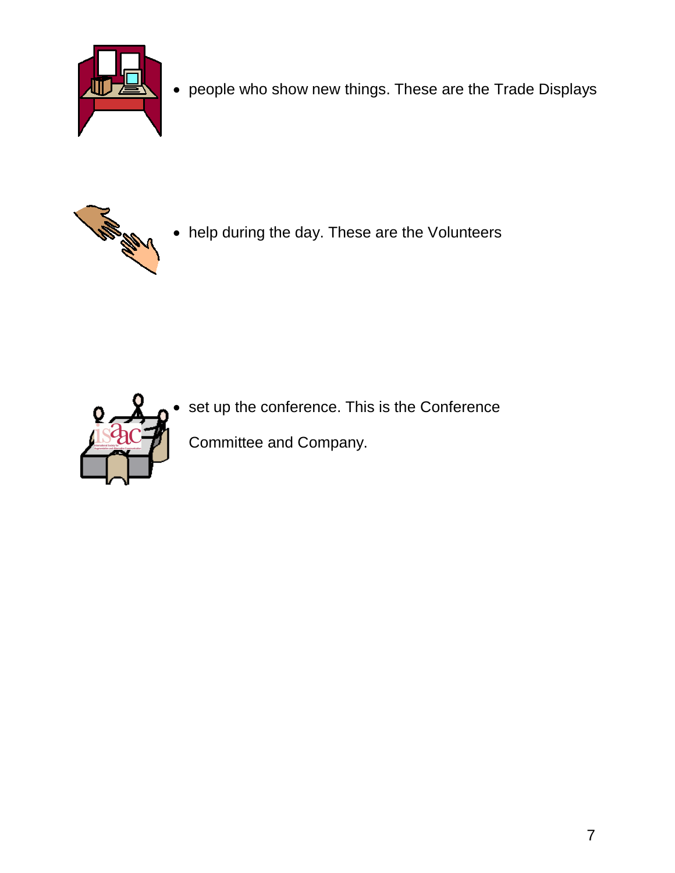

people who show new things. These are the Trade Displays



help during the day. These are the Volunteers



set up the conference. This is the Conference

Committee and Company.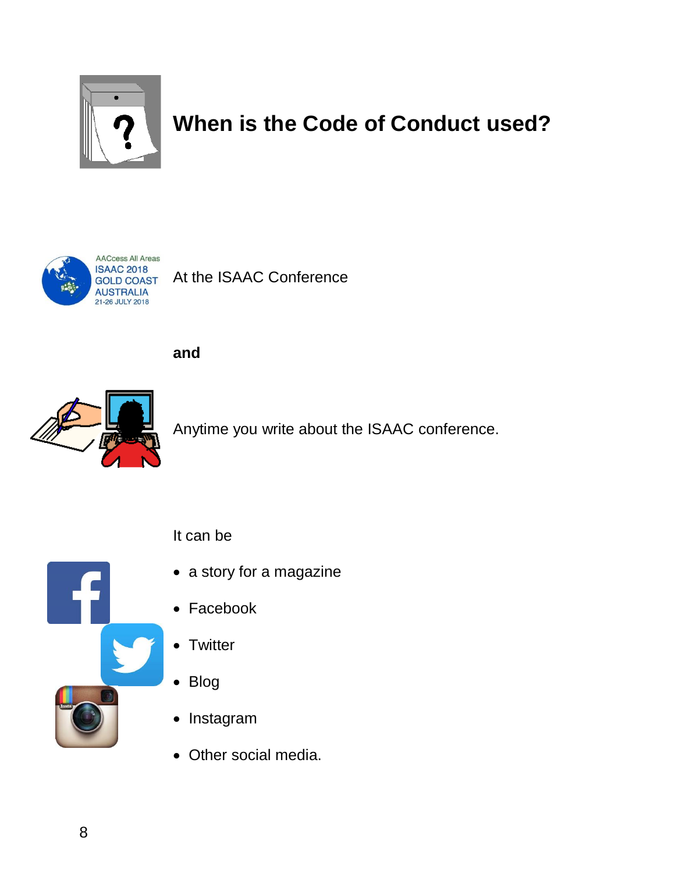

## **When is the Code of Conduct used?**



GOLD COAST At the ISAAC Conference

**and**



Anytime you write about the ISAAC conference.



- a story for a magazine
- Facebook
- Twitter

It can be

- Blog
- Instagram
- Other social media.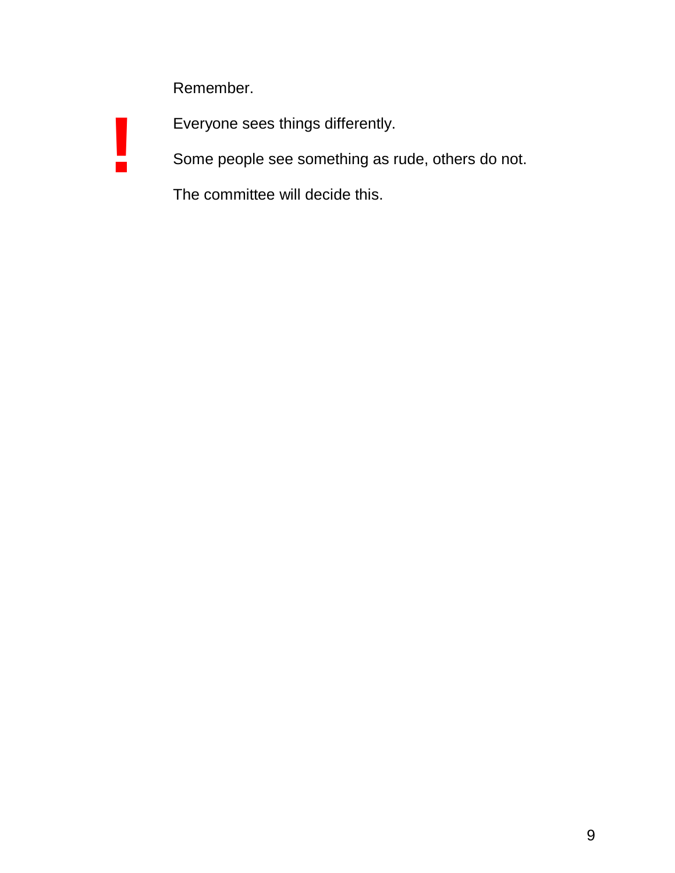Remember.

**!**

Everyone sees things differently.

Some people see something as rude, others do not.

The committee will decide this.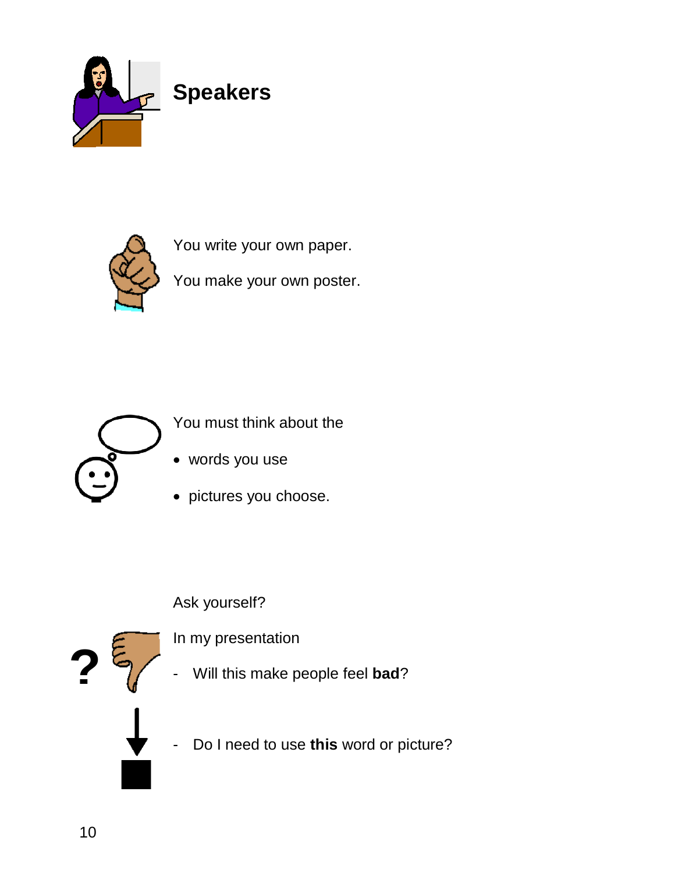



You write your own paper.

You make your own poster.



You must think about the

- words you use
- pictures you choose.

#### Ask yourself?

In my presentation

- Will this make people feel **bad**?
- Do I need to use **this** word or picture?

**?**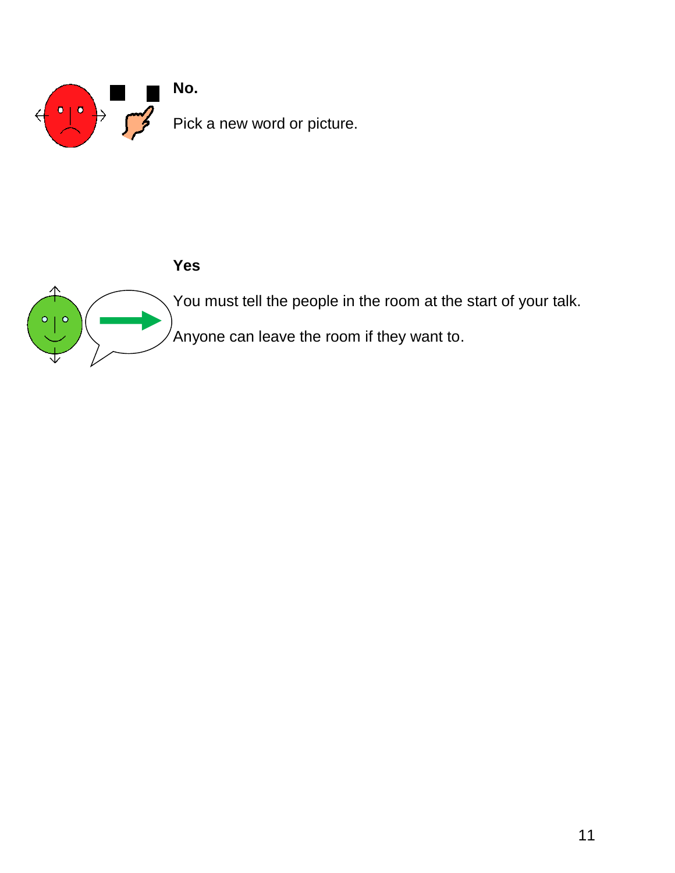

#### **Yes**

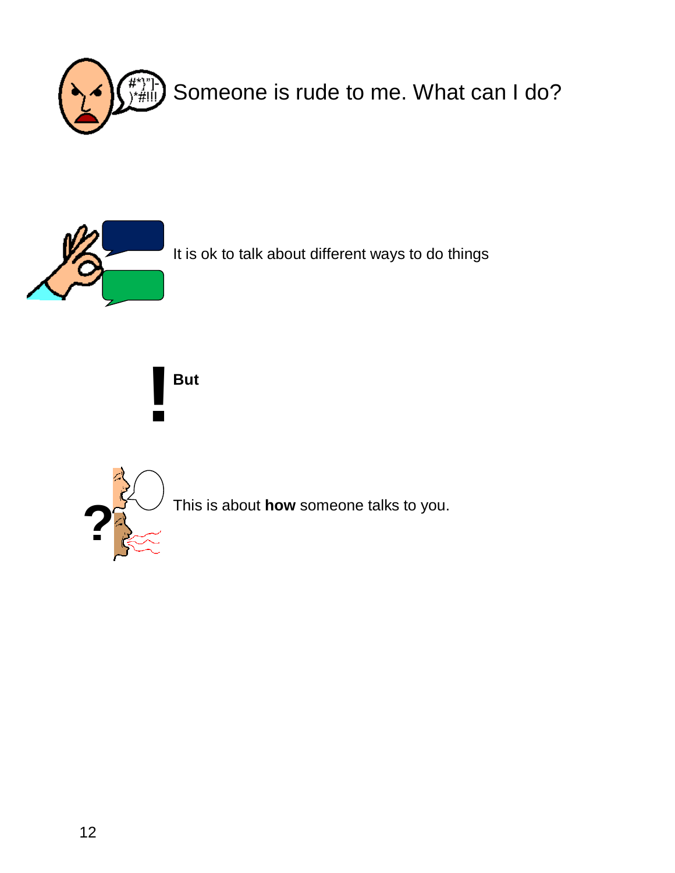



It is ok to talk about different ways to do things

**But !**



This is about **how** someone talks to you. **?**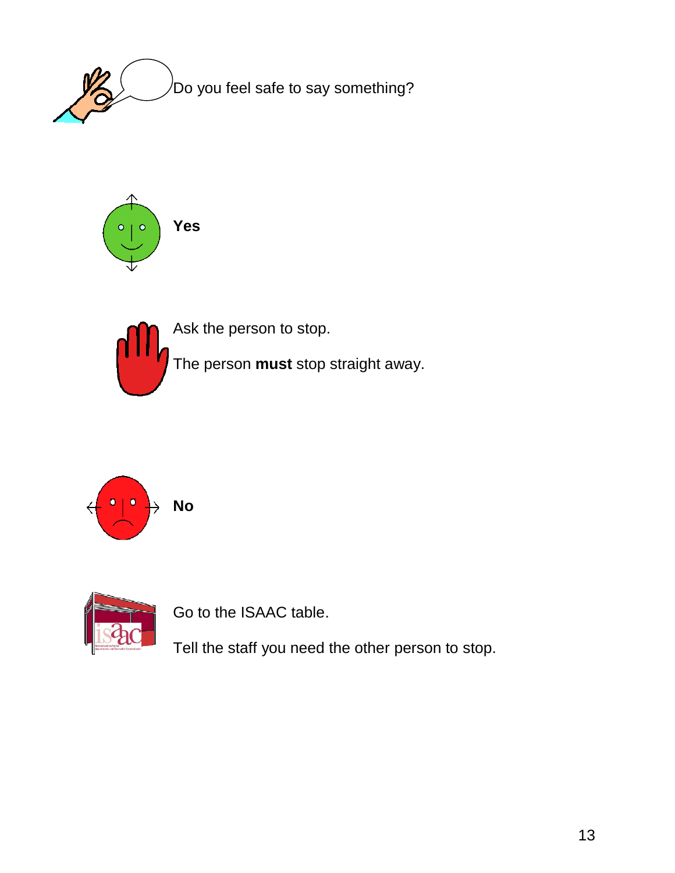



Ask the person to stop.

The person **must** stop straight away.





Go to the ISAAC table.

Tell the staff you need the other person to stop.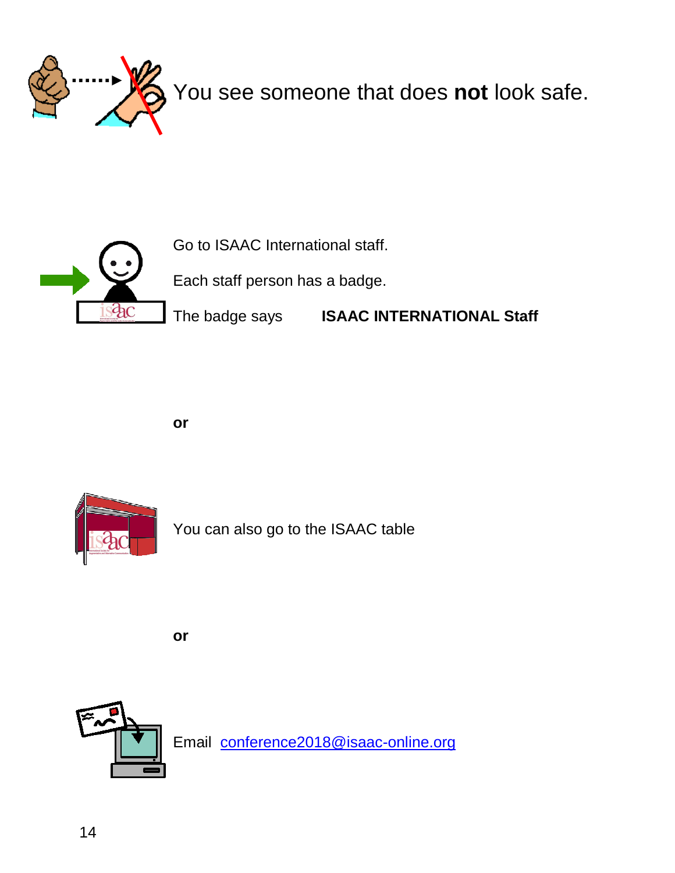



**or**



You can also go to the ISAAC table

**or**

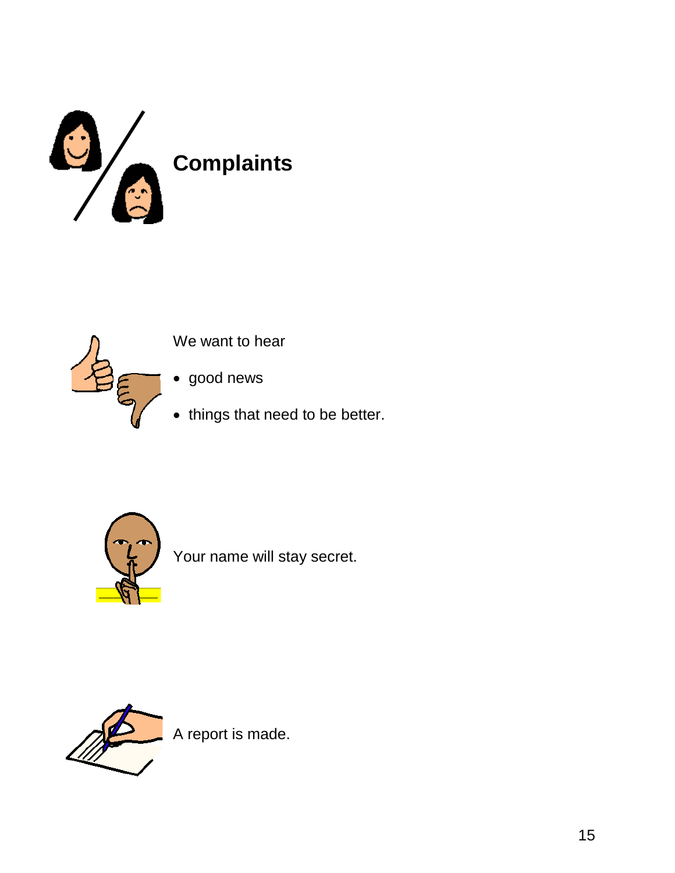



We want to hear

good news

• things that need to be better.



Your name will stay secret.



A report is made.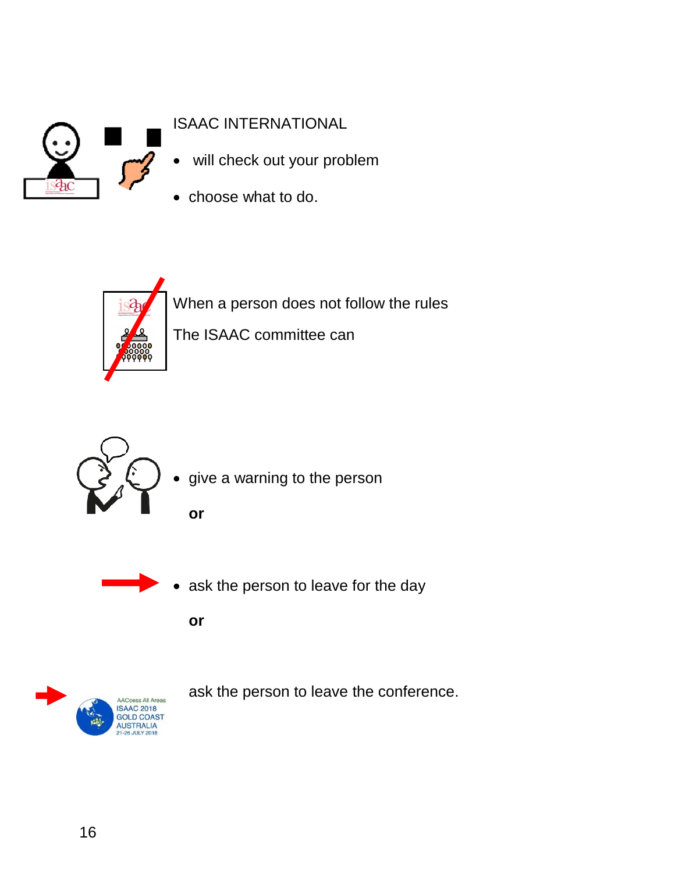

#### ISAAC INTERNATIONAL

- will check out your problem
- choose what to do.



When a person does not follow the rules



give a warning to the person

The ISAAC committee can

**or**



• ask the person to leave for the day

**or**



ask the person to leave the conference.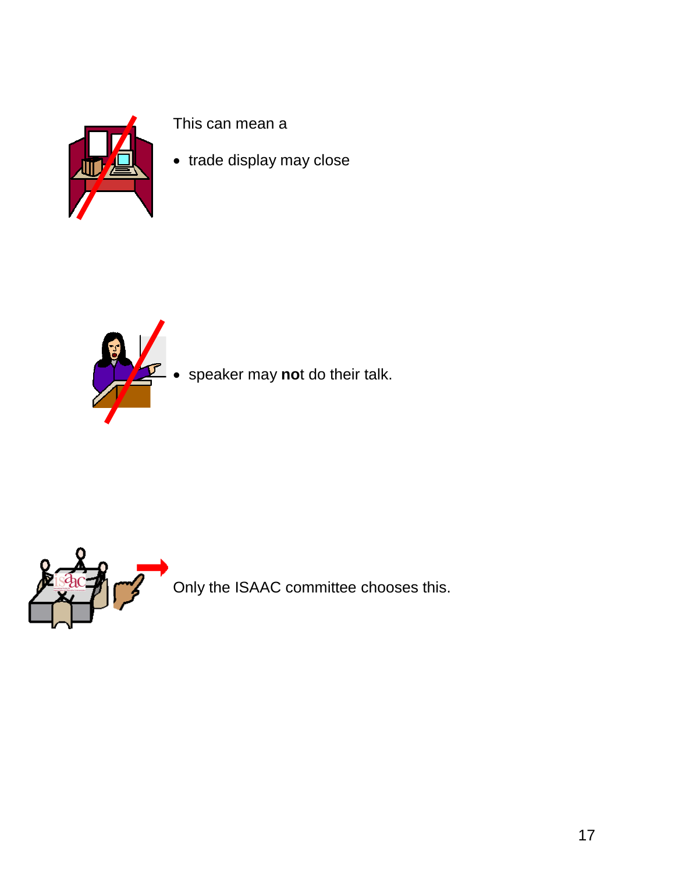

This can mean a

• trade display may close



speaker may **no**t do their talk.



Only the ISAAC committee chooses this.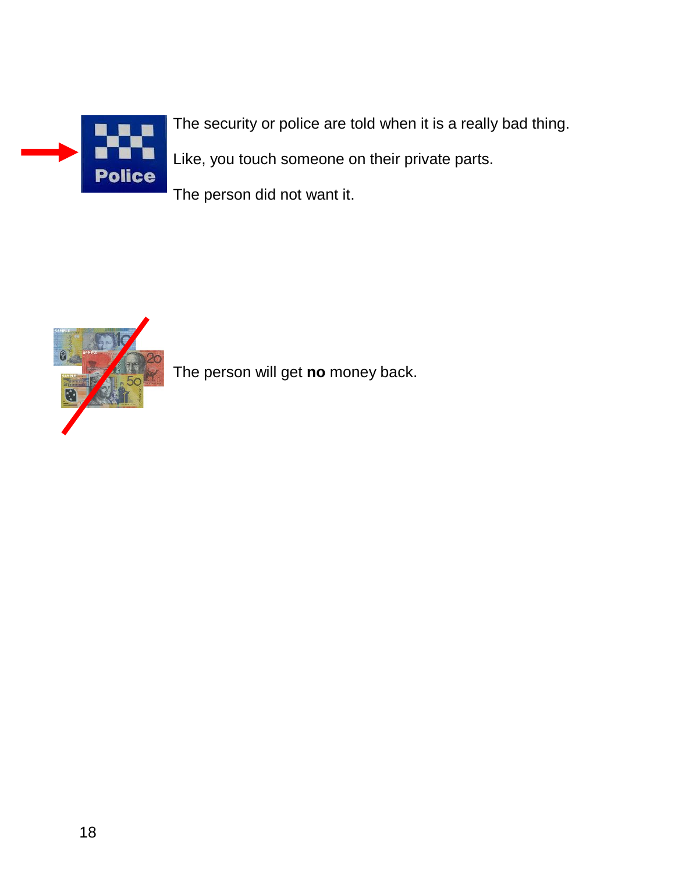

The security or police are told when it is a really bad thing. Like, you touch someone on their private parts.

The person did not want it.



The person will get **no** money back.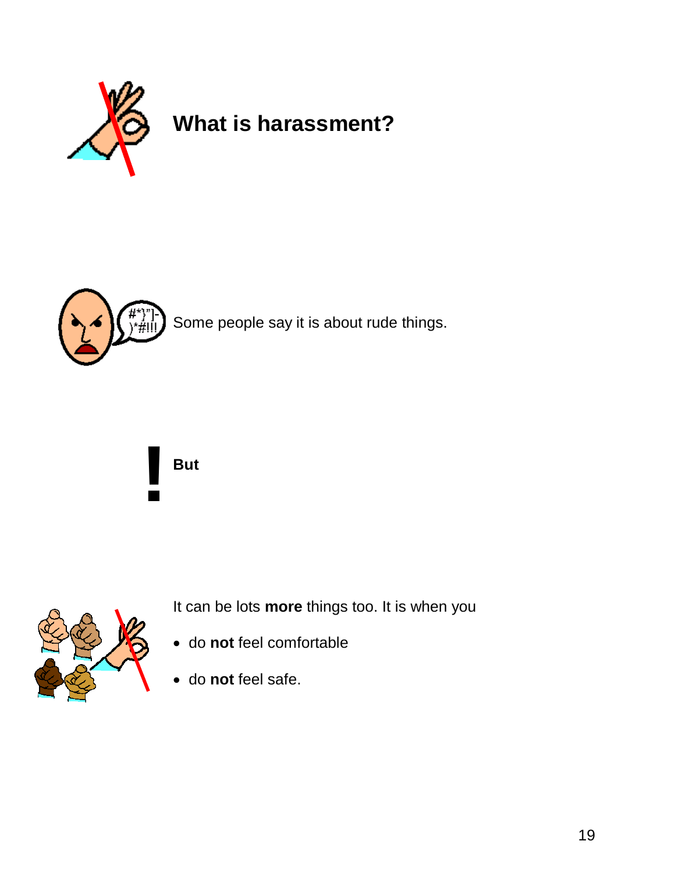



Some people say it is about rude things.





It can be lots **more** things too. It is when you

- do **not** feel comfortable
- do **not** feel safe.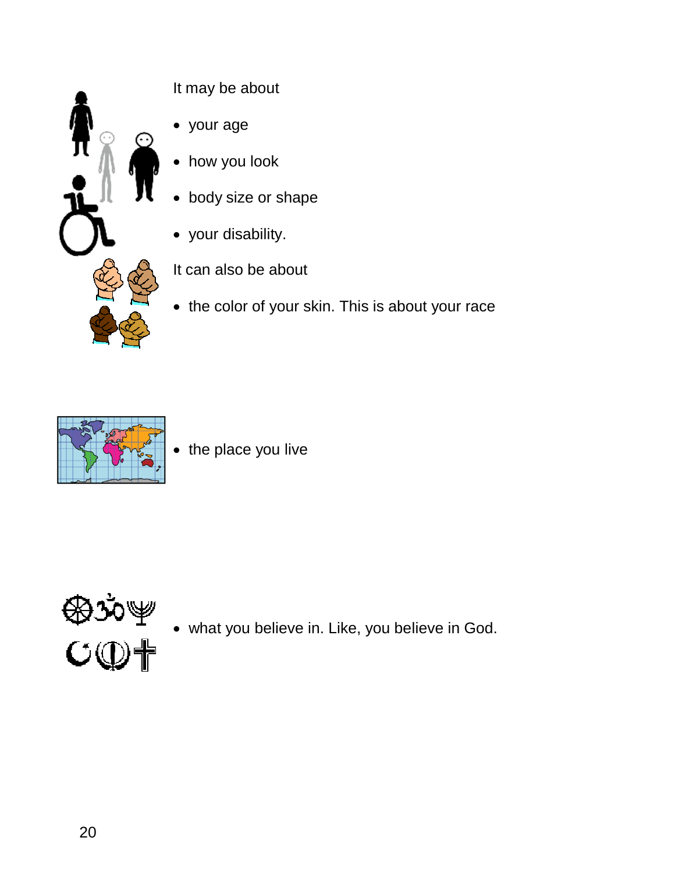

It may be about

- your age
- how you look
- body size or shape
- your disability.

It can also be about

• the color of your skin. This is about your race



• the place you live



what you believe in. Like, you believe in God.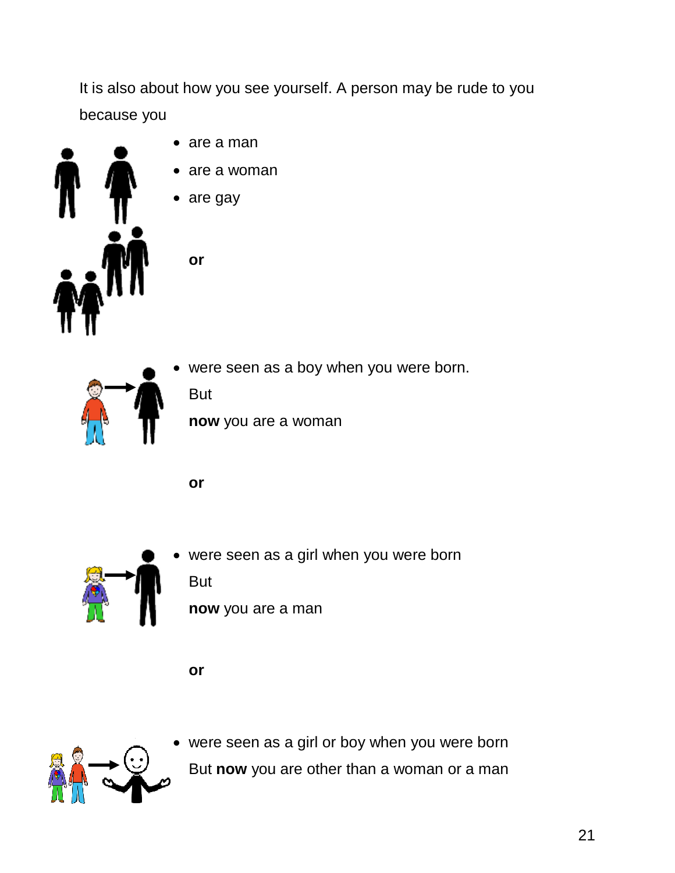

 were seen as a girl or boy when you were born But **now** you are other than a woman or a man



were seen as a girl when you were born

**or**

But

**or**

But



were seen as a boy when you were born.

**now** you are a woman

**now** you are a man



- are a man
- are a woman
- are gay

**or**

It is also about how you see yourself. A person may be rude to you because you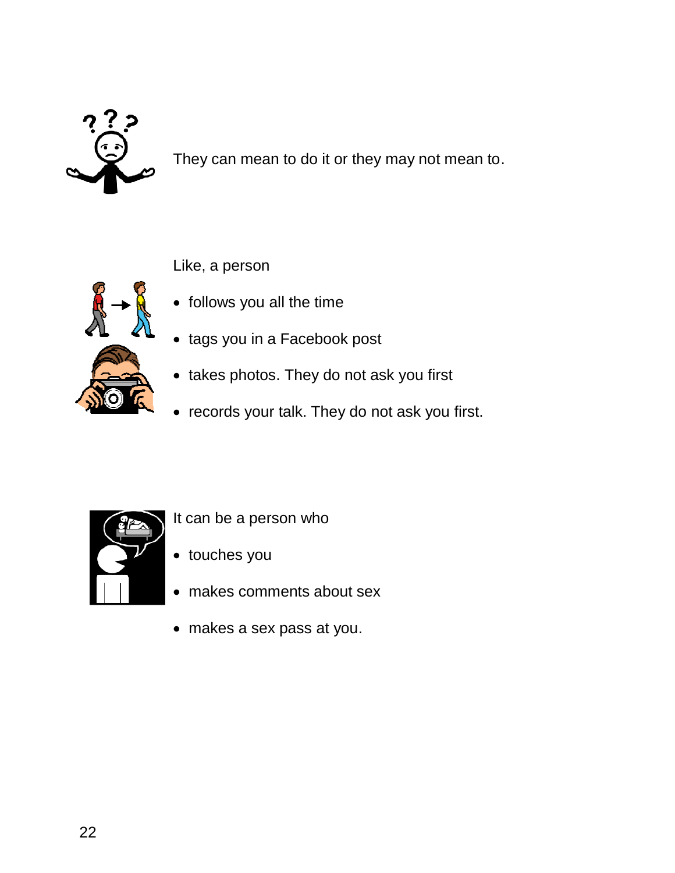

They can mean to do it or they may not mean to.

Like, a person



- follows you all the time
- tags you in a Facebook post
- takes photos. They do not ask you first
- records your talk. They do not ask you first.



- It can be a person who
- touches you
- makes comments about sex
- makes a sex pass at you.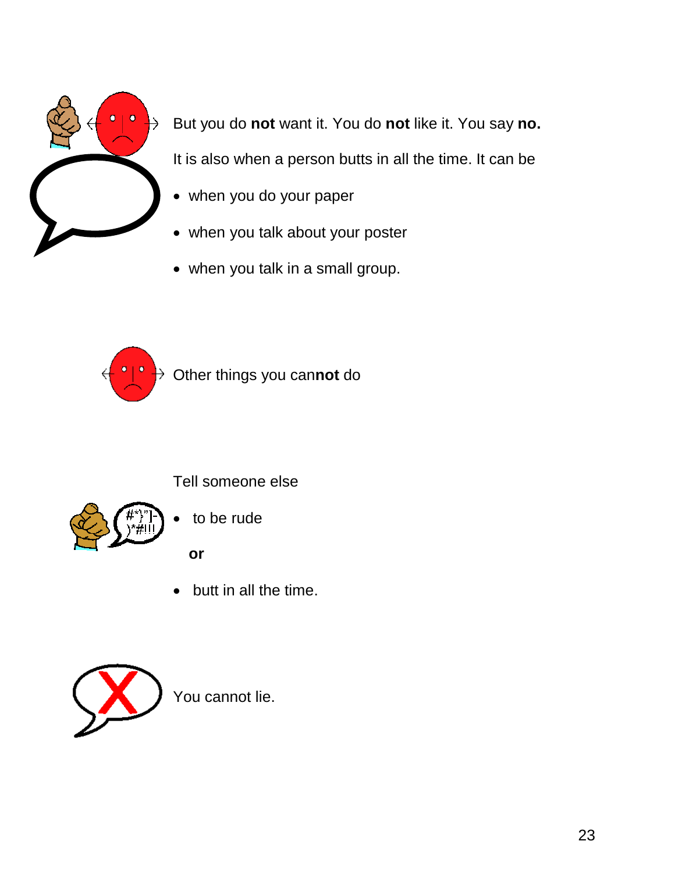

But you do **not** want it. You do **not** like it. You say **no.** It is also when a person butts in all the time. It can be

- when you do your paper
- when you talk about your poster
- when you talk in a small group.



Other things you can**not** do



to be rude

Tell someone else

**or**

• butt in all the time.



You cannot lie.